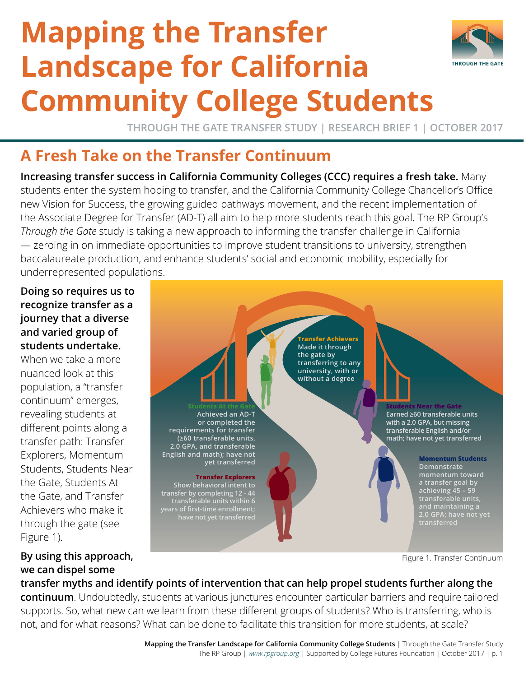# **Mapping the Transfer Landscape for California Community College Students**



**THROUGH THE GATE TRANSFER STUDY | RESEARCH BRIEF 1 | OCTOBER 2017**

## **A Fresh Take on the Transfer Continuum**

**Increasing transfer success in California Community Colleges (CCC) requires a fresh take.** Many students enter the system hoping to transfer, and the California Community College Chancellor's Office new Vision for Success, the growing guided pathways movement, and the recent implementation of the Associate Degree for Transfer (AD-T) all aim to help more students reach this goal. The RP Group's *Through the Gate* study is taking a new approach to informing the transfer challenge in California — zeroing in on immediate opportunities to improve student transitions to university, strengthen baccalaureate production, and enhance students' social and economic mobility, especially for underrepresented populations.

#### **Doing so requires us to recognize transfer as a journey that a diverse and varied group of students undertake.**

When we take a more nuanced look at this population, a "transfer continuum" emerges, revealing students at different points along a transfer path: Transfer Explorers, Momentum Students, Students Near the Gate, Students At the Gate, and Transfer Achievers who make it through the gate (see Figure 1).

### **By using this approach, we can dispel some**

**Achieved an AD-T or completed the requirements for transfer (≥60 transferable units, 2.0 GPA, and transferable** 

#### **Transfer Explorers yet transferred**

**Show behavioral intent to transfer by completing 12 - 44 transferable units within 6 years of first-time enrollment; have not yet transferred**

**English and math); have not** 

**Transfer Achievers Made it through the gate by transferring to any university, with or without a degree**

> **Students Near the Gate Earned ≥60 transferable units with a 2.0 GPA, but missing transferable English and/or math; have not yet transferred**

> > **Momentum Students Demonstrate momentum toward a transfer goal by achieving 45 – 59 transferable units, 2.0 GPA; have not yet transferred**

Figure 1. Transfer Continuum

#### **transfer myths and identify points of intervention that can help propel students further along the**

**continuum**. Undoubtedly, students at various junctures encounter particular barriers and require tailored supports. So, what new can we learn from these different groups of students? Who is transferring, who is not, and for what reasons? What can be done to facilitate this transition for more students, at scale?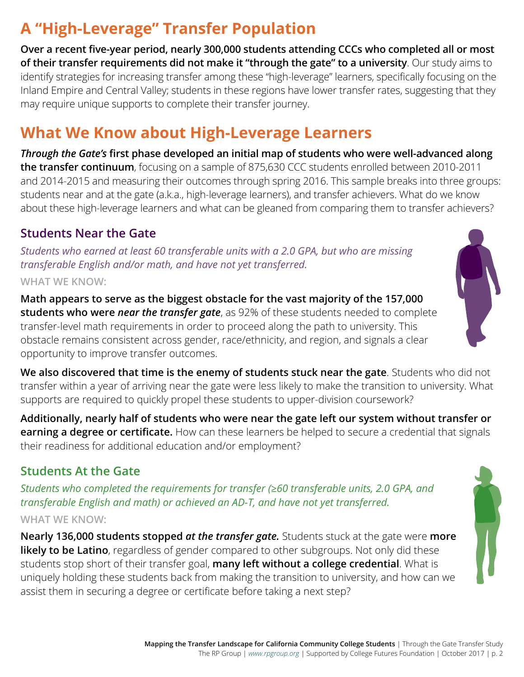# **A "High-Leverage" Transfer Population**

**Over a recent five-year period, nearly 300,000 students attending CCCs who completed all or most of their transfer requirements did not make it "through the gate" to a university**. Our study aims to identify strategies for increasing transfer among these "high-leverage" learners, specifically focusing on the Inland Empire and Central Valley; students in these regions have lower transfer rates, suggesting that they may require unique supports to complete their transfer journey.

# **What We Know about High-Leverage Learners**

*Through the Gate's* **first phase developed an initial map of students who were well-advanced along the transfer continuum**, focusing on a sample of 875,630 CCC students enrolled between 2010-2011 and 2014-2015 and measuring their outcomes through spring 2016. This sample breaks into three groups: students near and at the gate (a.k.a., high-leverage learners), and transfer achievers. What do we know about these high-leverage learners and what can be gleaned from comparing them to transfer achievers?

## **Students Near the Gate**

*Students who earned at least 60 transferable units with a 2.0 GPA, but who are missing transferable English and/or math, and have not yet transferred.* **WHAT WE KNOW:**

**Math appears to serve as the biggest obstacle for the vast majority of the 157,000 students who were** *near the transfer gate*, as 92% of these students needed to complete transfer-level math requirements in order to proceed along the path to university. This obstacle remains consistent across gender, race/ethnicity, and region, and signals a clear opportunity to improve transfer outcomes.

**We also discovered that time is the enemy of students stuck near the gate**. Students who did not transfer within a year of arriving near the gate were less likely to make the transition to university. What supports are required to quickly propel these students to upper-division coursework?

**Additionally, nearly half of students who were near the gate left our system without transfer or earning a degree or certificate.** How can these learners be helped to secure a credential that signals their readiness for additional education and/or employment?

## **Students At the Gate**

*Students who completed the requirements for transfer (≥60 transferable units, 2.0 GPA, and transferable English and math) or achieved an AD-T, and have not yet transferred.* **WHAT WE KNOW:**

**Nearly 136,000 students stopped** *at the transfer gate.* Students stuck at the gate were **more**  likely to be Latino, regardless of gender compared to other subgroups. Not only did these students stop short of their transfer goal, **many left without a college credential**. What is uniquely holding these students back from making the transition to university, and how can we assist them in securing a degree or certificate before taking a next step?



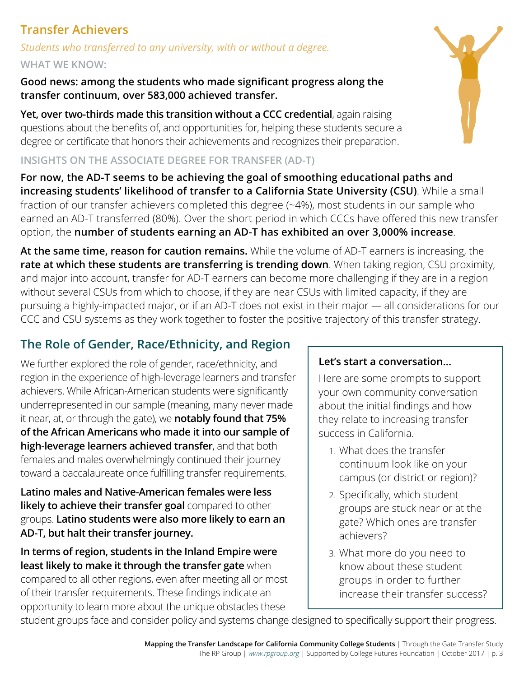## **Transfer Achievers**

*Students who transferred to any university, with or without a degree.*

#### **WHAT WE KNOW:**

**Good news: among the students who made significant progress along the transfer continuum, over 583,000 achieved transfer.**

**Yet, over two-thirds made this transition without a CCC credential**, again raising questions about the benefits of, and opportunities for, helping these students secure a degree or certificate that honors their achievements and recognizes their preparation.

#### **INSIGHTS ON THE ASSOCIATE DEGREE FOR TRANSFER (AD-T)**

**For now, the AD-T seems to be achieving the goal of smoothing educational paths and increasing students' likelihood of transfer to a California State University (CSU)**. While a small fraction of our transfer achievers completed this degree (~4%), most students in our sample who earned an AD-T transferred (80%). Over the short period in which CCCs have offered this new transfer option, the **number of students earning an AD-T has exhibited an over 3,000% increase**.

**At the same time, reason for caution remains.** While the volume of AD-T earners is increasing, the **rate at which these students are transferring is trending down**. When taking region, CSU proximity, and major into account, transfer for AD-T earners can become more challenging if they are in a region without several CSUs from which to choose, if they are near CSUs with limited capacity, if they are pursuing a highly-impacted major, or if an AD-T does not exist in their major — all considerations for our CCC and CSU systems as they work together to foster the positive trajectory of this transfer strategy.

## **The Role of Gender, Race/Ethnicity, and Region**

We further explored the role of gender, race/ethnicity, and region in the experience of high-leverage learners and transfer achievers. While African-American students were significantly underrepresented in our sample (meaning, many never made it near, at, or through the gate), we **notably found that 75% of the African Americans who made it into our sample of high-leverage learners achieved transfer**, and that both females and males overwhelmingly continued their journey toward a baccalaureate once fulfilling transfer requirements.

**Latino males and Native-American females were less likely to achieve their transfer goal** compared to other groups. **Latino students were also more likely to earn an AD-T, but halt their transfer journey.**

**In terms of region, students in the Inland Empire were least likely to make it through the transfer gate** when compared to all other regions, even after meeting all or most of their transfer requirements. These findings indicate an opportunity to learn more about the unique obstacles these

## **Let's start a conversation...**

Here are some prompts to support your own community conversation about the initial findings and how they relate to increasing transfer success in California.

- 1. What does the transfer continuum look like on your campus (or district or region)?
- 2. Specifically, which student groups are stuck near or at the gate? Which ones are transfer achievers?
- 3. What more do you need to know about these student groups in order to further increase their transfer success?

student groups face and consider policy and systems change designed to specifically support their progress.